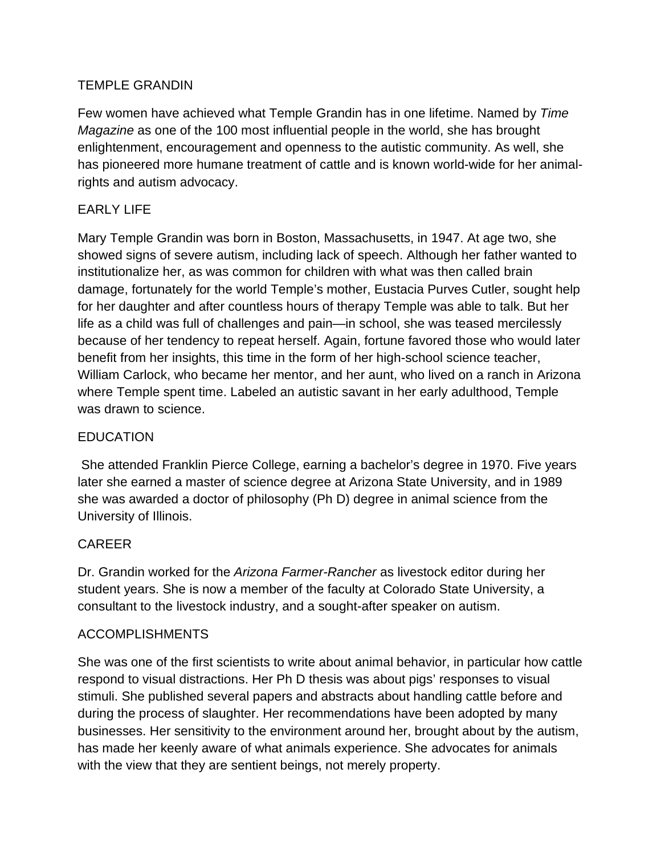#### TEMPLE GRANDIN

Few women have achieved what Temple Grandin has in one lifetime. Named by *Time Magazine* as one of the 100 most influential people in the world, she has brought enlightenment, encouragement and openness to the autistic community. As well, she has pioneered more humane treatment of cattle and is known world-wide for her animalrights and autism advocacy.

### EARLY LIFE

Mary Temple Grandin was born in Boston, Massachusetts, in 1947. At age two, she showed signs of severe autism, including lack of speech. Although her father wanted to institutionalize her, as was common for children with what was then called brain damage, fortunately for the world Temple's mother, Eustacia Purves Cutler, sought help for her daughter and after countless hours of therapy Temple was able to talk. But her life as a child was full of challenges and pain—in school, she was teased mercilessly because of her tendency to repeat herself. Again, fortune favored those who would later benefit from her insights, this time in the form of her high-school science teacher, William Carlock, who became her mentor, and her aunt, who lived on a ranch in Arizona where Temple spent time. Labeled an autistic savant in her early adulthood, Temple was drawn to science.

# **FDUCATION**

She attended Franklin Pierce College, earning a bachelor's degree in 1970. Five years later she earned a master of science degree at Arizona State University, and in 1989 she was awarded a doctor of philosophy (Ph D) degree in animal science from the University of Illinois.

# CAREER

Dr. Grandin worked for the *Arizona Farmer-Rancher* as livestock editor during her student years. She is now a member of the faculty at Colorado State University, a consultant to the livestock industry, and a sought-after speaker on autism.

#### ACCOMPLISHMENTS

She was one of the first scientists to write about animal behavior, in particular how cattle respond to visual distractions. Her Ph D thesis was about pigs' responses to visual stimuli. She published several papers and abstracts about handling cattle before and during the process of slaughter. Her recommendations have been adopted by many businesses. Her sensitivity to the environment around her, brought about by the autism, has made her keenly aware of what animals experience. She advocates for animals with the view that they are sentient beings, not merely property.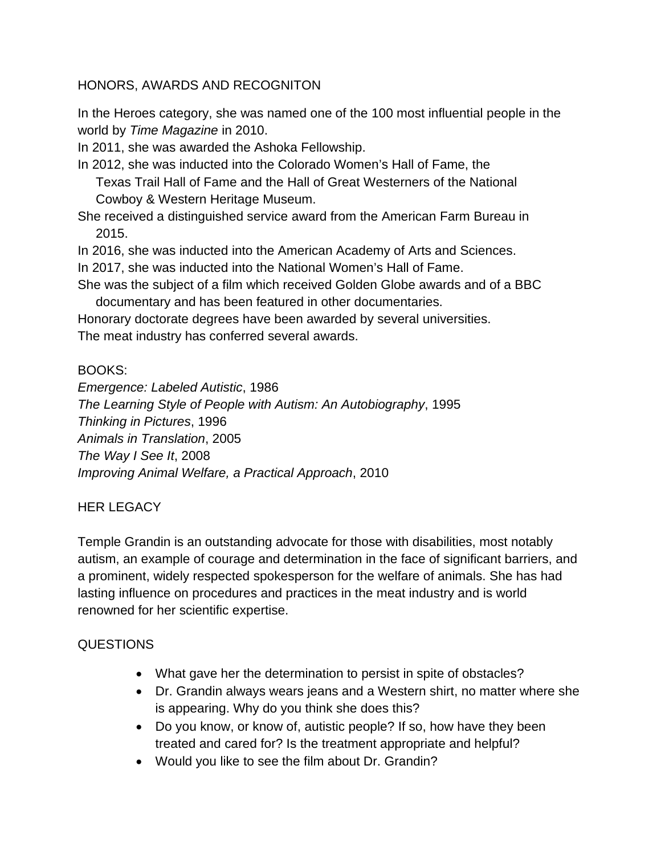#### HONORS, AWARDS AND RECOGNITON

In the Heroes category, she was named one of the 100 most influential people in the world by *Time Magazine* in 2010.

In 2011, she was awarded the Ashoka Fellowship.

In 2012, she was inducted into the Colorado Women's Hall of Fame, the Texas Trail Hall of Fame and the Hall of Great Westerners of the National Cowboy & Western Heritage Museum.

She received a distinguished service award from the American Farm Bureau in 2015.

In 2016, she was inducted into the American Academy of Arts and Sciences.

In 2017, she was inducted into the National Women's Hall of Fame.

She was the subject of a film which received Golden Globe awards and of a BBC documentary and has been featured in other documentaries.

Honorary doctorate degrees have been awarded by several universities. The meat industry has conferred several awards.

#### BOOKS:

*Emergence: Labeled Autistic*, 1986 *The Learning Style of People with Autism: An Autobiography*, 1995 *Thinking in Pictures*, 1996 *Animals in Translation*, 2005 *The Way I See It*, 2008 *Improving Animal Welfare, a Practical Approach*, 2010

#### HER LEGACY

Temple Grandin is an outstanding advocate for those with disabilities, most notably autism, an example of courage and determination in the face of significant barriers, and a prominent, widely respected spokesperson for the welfare of animals. She has had lasting influence on procedures and practices in the meat industry and is world renowned for her scientific expertise.

#### QUESTIONS

- What gave her the determination to persist in spite of obstacles?
- Dr. Grandin always wears jeans and a Western shirt, no matter where she is appearing. Why do you think she does this?
- Do you know, or know of, autistic people? If so, how have they been treated and cared for? Is the treatment appropriate and helpful?
- Would you like to see the film about Dr. Grandin?